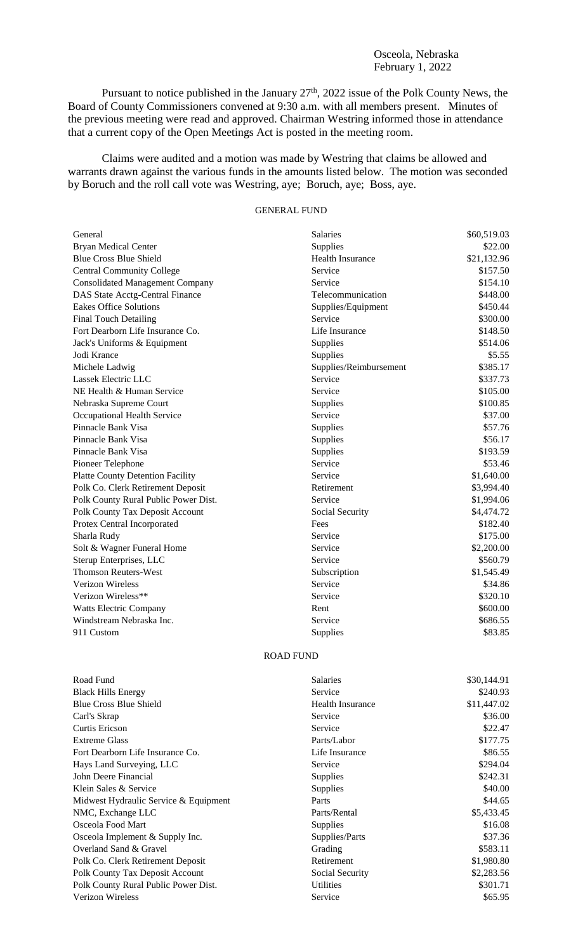## Osceola, Nebraska February 1, 2022

Pursuant to notice published in the January  $27<sup>th</sup>$ ,  $2022$  issue of the Polk County News, the Board of County Commissioners convened at 9:30 a.m. with all members present. Minutes of the previous meeting were read and approved. Chairman Westring informed those in attendance that a current copy of the Open Meetings Act is posted in the meeting room.

Claims were audited and a motion was made by Westring that claims be allowed and warrants drawn against the various funds in the amounts listed below. The motion was seconded by Boruch and the roll call vote was Westring, aye; Boruch, aye; Boss, aye.

## GENERAL FUND

| General                                 | <b>Salaries</b>         | \$60,519.03 |
|-----------------------------------------|-------------------------|-------------|
| <b>Bryan Medical Center</b>             | Supplies                | \$22.00     |
| <b>Blue Cross Blue Shield</b>           | <b>Health Insurance</b> | \$21,132.96 |
| <b>Central Community College</b>        | Service                 | \$157.50    |
| <b>Consolidated Management Company</b>  | Service                 | \$154.10    |
| DAS State Acctg-Central Finance         | Telecommunication       | \$448.00    |
| <b>Eakes Office Solutions</b>           | Supplies/Equipment      | \$450.44    |
| <b>Final Touch Detailing</b>            | Service                 | \$300.00    |
| Fort Dearborn Life Insurance Co.        | Life Insurance          | \$148.50    |
| Jack's Uniforms & Equipment             | Supplies                | \$514.06    |
| Jodi Krance                             | Supplies                | \$5.55      |
| Michele Ladwig                          | Supplies/Reimbursement  | \$385.17    |
| Lassek Electric LLC                     | Service                 | \$337.73    |
| NE Health & Human Service               | Service                 | \$105.00    |
| Nebraska Supreme Court                  | Supplies                | \$100.85    |
| Occupational Health Service             | Service                 | \$37.00     |
| Pinnacle Bank Visa                      | Supplies                | \$57.76     |
| Pinnacle Bank Visa                      | Supplies                | \$56.17     |
| Pinnacle Bank Visa                      | Supplies                | \$193.59    |
| Pioneer Telephone                       | Service                 | \$53.46     |
| <b>Platte County Detention Facility</b> | Service                 | \$1,640.00  |
| Polk Co. Clerk Retirement Deposit       | Retirement              | \$3,994.40  |
| Polk County Rural Public Power Dist.    | Service                 | \$1,994.06  |
| Polk County Tax Deposit Account         | Social Security         | \$4,474.72  |
| Protex Central Incorporated             | Fees                    | \$182.40    |
| Sharla Rudy                             | Service                 | \$175.00    |
| Solt & Wagner Funeral Home              | Service                 | \$2,200.00  |
| Sterup Enterprises, LLC                 | Service                 | \$560.79    |
| <b>Thomson Reuters-West</b>             | Subscription            | \$1,545.49  |
| Verizon Wireless                        | Service                 | \$34.86     |
| Verizon Wireless**                      | Service                 | \$320.10    |
| <b>Watts Electric Company</b>           | Rent                    | \$600.00    |
| Windstream Nebraska Inc.                | Service                 | \$686.55    |
| 911 Custom                              | Supplies                | \$83.85     |
|                                         | <b>ROAD FUND</b>        |             |

| Road Fund                             | <b>Salaries</b>         | \$30,144.91 |
|---------------------------------------|-------------------------|-------------|
| <b>Black Hills Energy</b>             | Service                 | \$240.93    |
| <b>Blue Cross Blue Shield</b>         | <b>Health Insurance</b> | \$11,447.02 |
| Carl's Skrap                          | Service                 | \$36.00     |
| Curtis Ericson                        | Service                 | \$22.47     |
| <b>Extreme Glass</b>                  | Parts/Labor             | \$177.75    |
| Fort Dearborn Life Insurance Co.      | Life Insurance          | \$86.55     |
| Hays Land Surveying, LLC              | Service                 | \$294.04    |
| John Deere Financial                  | <b>Supplies</b>         | \$242.31    |
| Klein Sales & Service                 | <b>Supplies</b>         | \$40.00     |
| Midwest Hydraulic Service & Equipment | Parts                   | \$44.65     |
| NMC, Exchange LLC                     | Parts/Rental            | \$5,433.45  |
| Osceola Food Mart                     | <b>Supplies</b>         | \$16.08     |
| Osceola Implement & Supply Inc.       | Supplies/Parts          | \$37.36     |
| Overland Sand & Gravel                | Grading                 | \$583.11    |
| Polk Co. Clerk Retirement Deposit     | Retirement              | \$1,980.80  |
| Polk County Tax Deposit Account       | Social Security         | \$2,283.56  |
| Polk County Rural Public Power Dist.  | <b>Utilities</b>        | \$301.71    |
| Verizon Wireless                      | Service                 | \$65.95     |
|                                       |                         |             |